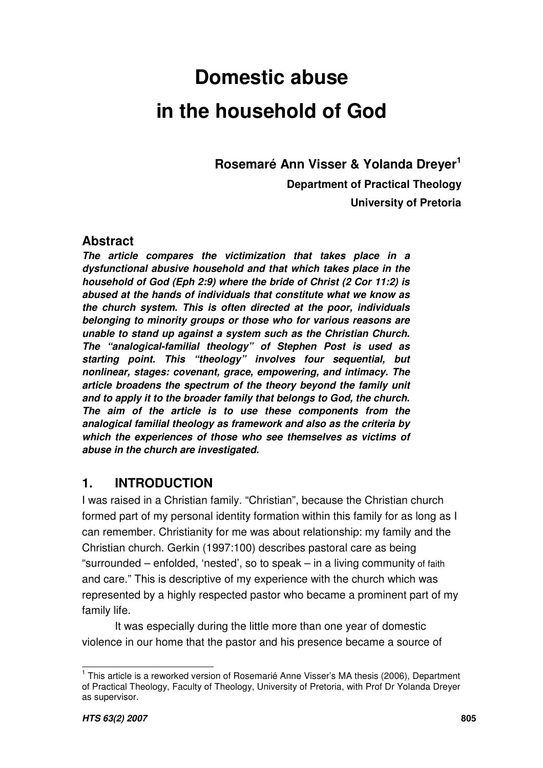**Rosemaré Ann Visser & Yolanda Dreyer 1**

**Department of Practical Theology**

**University of Pretoria**

# **Abstract**

*The article compares the victimization that takes place in a dysfunctional abusive household and that which takes place in the household of God (Eph 2:9) where the bride of Christ (2 Cor 11:2) is abused at the hands of individuals that constitute what we know as the church system. This is often directed at the poor, individuals belonging to minority groups or those who for various reasons are unable to stand up against a system such as the Christian Church. The "analogical-familial theology" of Stephen Post is used as starting point. This "theology" involves four sequential, but nonlinear, stages: covenant, grace, empowering, and intimacy. The article broadens the spectrum of the theory beyond the family unit and to apply it to the broader family that belongs to God, the church. The aim of the article is to use these components from the analogical familial theology as framework and also as the criteria by which the experiences of those who see themselves as victims of abuse in the church are investigated.*

# **1. INTRODUCTION**

I was raised in a Christian family. "Christian", because the Christian church formed part of my personal identity formation within this family for as long as I can remember. Christianity for me was about relationship: my family and the Christian church. Gerkin (1997:100) describes pastoral care as being "surrounded – enfolded, 'nested', so to speak – in a living community of faith and care." This is descriptive of my experience with the church which was represented by a highly respected pastor who became a prominent part of my family life.

It was especially during the little more than one year of domestic violence in our home that the pastor and his presence became a source of

<sup>&</sup>lt;sup>1</sup> This article is a reworked version of Rosemarié Anne Visser's MA thesis (2006), Department of Practical Theology, Faculty of Theology, University of Pretoria, with Prof Dr Yolanda Dreyer as supervisor.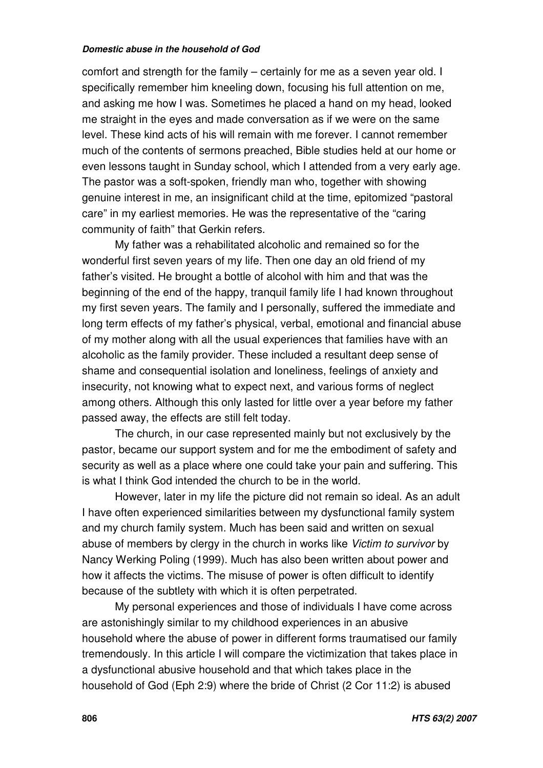comfort and strength for the family – certainly for me as a seven year old. I specifically remember him kneeling down, focusing his full attention on me, and asking me how I was. Sometimes he placed a hand on my head, looked me straight in the eyes and made conversation as if we were on the same level. These kind acts of his will remain with me forever. I cannot remember much of the contents of sermons preached, Bible studies held at our home or even lessons taught in Sunday school, which I attended from a very early age. The pastor was a soft-spoken, friendly man who, together with showing genuine interest in me, an insignificant child at the time, epitomized "pastoral care" in my earliest memories. He was the representative of the "caring community of faith" that Gerkin refers.

My father was a rehabilitated alcoholic and remained so for the wonderful first seven years of my life. Then one day an old friend of my father's visited. He brought a bottle of alcohol with him and that was the beginning of the end of the happy, tranquil family life I had known throughout my first seven years. The family and I personally, suffered the immediate and long term effects of my father's physical, verbal, emotional and financial abuse of my mother along with all the usual experiences that families have with an alcoholic as the family provider. These included a resultant deep sense of shame and consequential isolation and loneliness, feelings of anxiety and insecurity, not knowing what to expect next, and various forms of neglect among others. Although this only lasted for little over a year before my father passed away, the effects are still felt today.

The church, in our case represented mainly but not exclusively by the pastor, became our support system and for me the embodiment of safety and security as well as a place where one could take your pain and suffering. This is what I think God intended the church to be in the world.

However, later in my life the picture did not remain so ideal. As an adult I have often experienced similarities between my dysfunctional family system and my church family system. Much has been said and written on sexual abuse of members by clergy in the church in works like *Victim to survivor* by Nancy Werking Poling (1999). Much has also been written about power and how it affects the victims. The misuse of power is often difficult to identify because of the subtlety with which it is often perpetrated.

My personal experiences and those of individuals I have come across are astonishingly similar to my childhood experiences in an abusive household where the abuse of power in different forms traumatised our family tremendously. In this article I will compare the victimization that takes place in a dysfunctional abusive household and that which takes place in the household of God (Eph 2:9) where the bride of Christ (2 Cor 11:2) is abused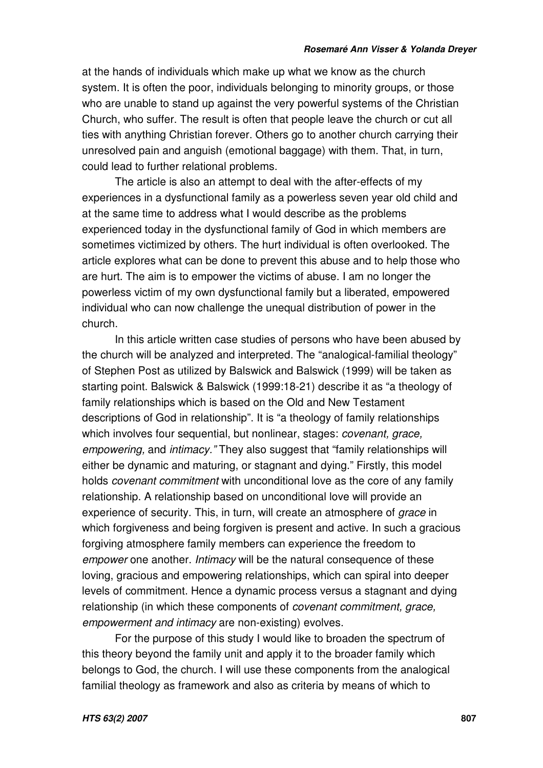at the hands of individuals which make up what we know as the church system. It is often the poor, individuals belonging to minority groups, or those who are unable to stand up against the very powerful systems of the Christian Church, who suffer. The result is often that people leave the church or cut all ties with anything Christian forever. Others go to another church carrying their unresolved pain and anguish (emotional baggage) with them. That, in turn, could lead to further relational problems.

The article is also an attempt to deal with the after-effects of my experiences in a dysfunctional family as a powerless seven year old child and at the same time to address what I would describe as the problems experienced today in the dysfunctional family of God in which members are sometimes victimized by others. The hurt individual is often overlooked. The article explores what can be done to prevent this abuse and to help those who are hurt. The aim is to empower the victims of abuse. I am no longer the powerless victim of my own dysfunctional family but a liberated, empowered individual who can now challenge the unequal distribution of power in the church.

In this article written case studies of persons who have been abused by the church will be analyzed and interpreted. The "analogical-familial theology" of Stephen Post as utilized by Balswick and Balswick (1999) will be taken as starting point. Balswick & Balswick (1999:18-21) describe it as "a theology of family relationships which is based on the Old and New Testament descriptions of God in relationship". It is "a theology of family relationships which involves four sequential, but nonlinear, stages: *covenant, grace, empowering,* and *intimacy."* They also suggest that "family relationships will either be dynamic and maturing, or stagnant and dying." Firstly, this model holds *covenant commitment* with unconditional love as the core of any family relationship. A relationship based on unconditional love will provide an experience of security. This, in turn, will create an atmosphere of *grace* in which forgiveness and being forgiven is present and active. In such a gracious forgiving atmosphere family members can experience the freedom to *empower* one another. *Intimacy* will be the natural consequence of these loving, gracious and empowering relationships, which can spiral into deeper levels of commitment. Hence a dynamic process versus a stagnant and dying relationship (in which these components of *covenant commitment, grace, empowerment and intimacy* are non-existing) evolves.

For the purpose of this study I would like to broaden the spectrum of this theory beyond the family unit and apply it to the broader family which belongs to God, the church. I will use these components from the analogical familial theology as framework and also as criteria by means of which to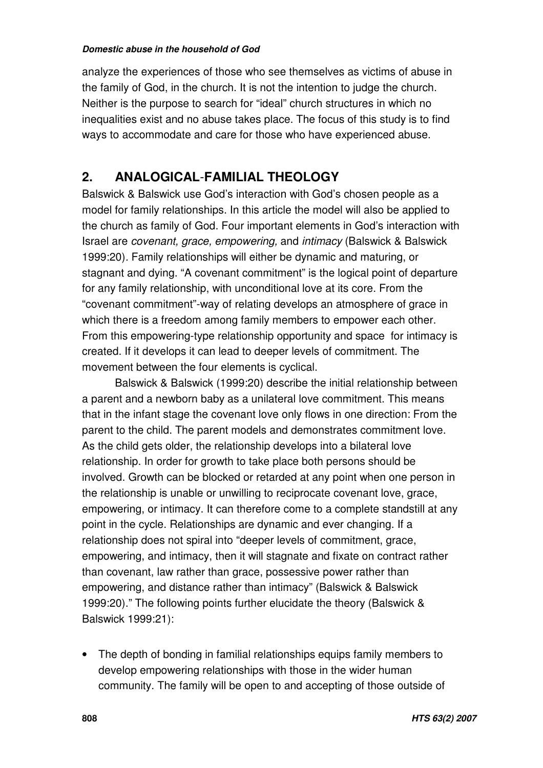analyze the experiences of those who see themselves as victims of abuse in the family of God, in the church. It is not the intention to judge the church. Neither is the purpose to search for "ideal" church structures in which no inequalities exist and no abuse takes place. The focus of this study is to find ways to accommodate and care for those who have experienced abuse.

# **2. ANALOGICAL**-**FAMILIAL THEOLOGY**

Balswick & Balswick use God's interaction with God's chosen people as a model for family relationships. In this article the model will also be applied to the church as family of God. Four important elements in God's interaction with Israel are *covenant, grace, empowering,* and *intimacy* (Balswick & Balswick 1999:20)*.* Family relationships will either be dynamic and maturing, or stagnant and dying. "A covenant commitment" is the logical point of departure for any family relationship, with unconditional love at its core. From the "covenant commitment"-way of relating develops an atmosphere of grace in which there is a freedom among family members to empower each other. From this empowering-type relationship opportunity and space for intimacy is created. If it develops it can lead to deeper levels of commitment. The movement between the four elements is cyclical.

Balswick & Balswick (1999:20) describe the initial relationship between a parent and a newborn baby as a unilateral love commitment. This means that in the infant stage the covenant love only flows in one direction: From the parent to the child. The parent models and demonstrates commitment love. As the child gets older, the relationship develops into a bilateral love relationship. In order for growth to take place both persons should be involved. Growth can be blocked or retarded at any point when one person in the relationship is unable or unwilling to reciprocate covenant love, grace, empowering, or intimacy. It can therefore come to a complete standstill at any point in the cycle. Relationships are dynamic and ever changing. If a relationship does not spiral into "deeper levels of commitment, grace, empowering, and intimacy, then it will stagnate and fixate on contract rather than covenant, law rather than grace, possessive power rather than empowering, and distance rather than intimacy" (Balswick & Balswick 1999:20)." The following points further elucidate the theory (Balswick & Balswick 1999:21):

• The depth of bonding in familial relationships equips family members to develop empowering relationships with those in the wider human community. The family will be open to and accepting of those outside of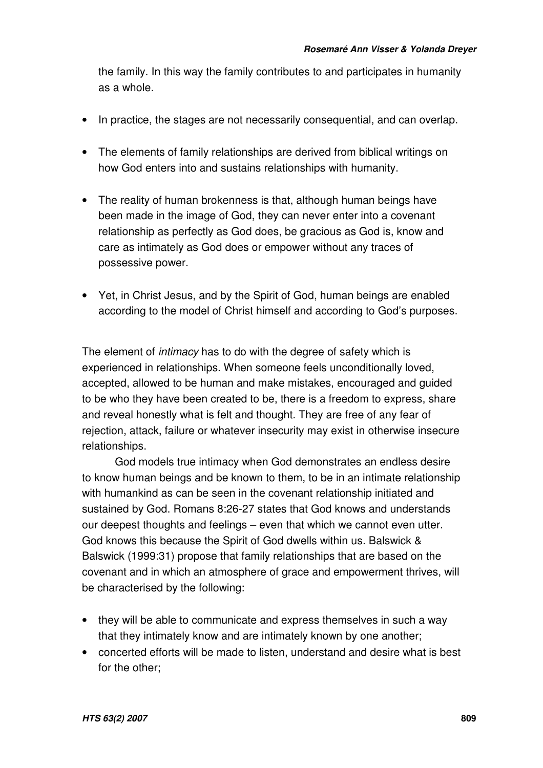the family. In this way the family contributes to and participates in humanity as a whole.

- In practice, the stages are not necessarily consequential, and can overlap.
- The elements of family relationships are derived from biblical writings on how God enters into and sustains relationships with humanity.
- The reality of human brokenness is that, although human beings have been made in the image of God, they can never enter into a covenant relationship as perfectly as God does, be gracious as God is, know and care as intimately as God does or empower without any traces of possessive power.
- Yet, in Christ Jesus, and by the Spirit of God, human beings are enabled according to the model of Christ himself and according to God's purposes.

The element of *intimacy* has to do with the degree of safety which is experienced in relationships. When someone feels unconditionally loved, accepted, allowed to be human and make mistakes, encouraged and guided to be who they have been created to be, there is a freedom to express, share and reveal honestly what is felt and thought. They are free of any fear of rejection, attack, failure or whatever insecurity may exist in otherwise insecure relationships.

God models true intimacy when God demonstrates an endless desire to know human beings and be known to them, to be in an intimate relationship with humankind as can be seen in the covenant relationship initiated and sustained by God. Romans 8:26-27 states that God knows and understands our deepest thoughts and feelings – even that which we cannot even utter. God knows this because the Spirit of God dwells within us. Balswick & Balswick (1999:31) propose that family relationships that are based on the covenant and in which an atmosphere of grace and empowerment thrives, will be characterised by the following:

- they will be able to communicate and express themselves in such a way that they intimately know and are intimately known by one another;
- concerted efforts will be made to listen, understand and desire what is best for the other;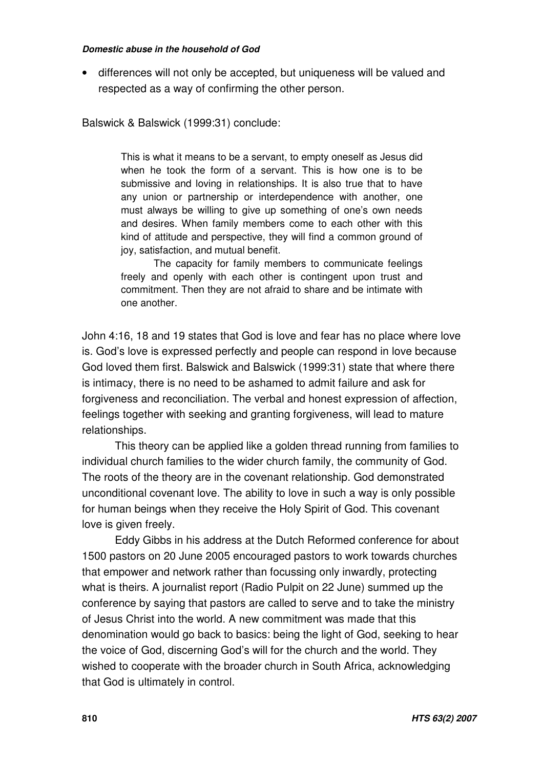• differences will not only be accepted, but uniqueness will be valued and respected as a way of confirming the other person.

Balswick & Balswick (1999:31) conclude:

This is what it means to be a servant, to empty oneself as Jesus did when he took the form of a servant. This is how one is to be submissive and loving in relationships. It is also true that to have any union or partnership or interdependence with another, one must always be willing to give up something of one's own needs and desires. When family members come to each other with this kind of attitude and perspective, they will find a common ground of joy, satisfaction, and mutual benefit.

The capacity for family members to communicate feelings freely and openly with each other is contingent upon trust and commitment. Then they are not afraid to share and be intimate with one another.

John 4:16, 18 and 19 states that God is love and fear has no place where love is. God's love is expressed perfectly and people can respond in love because God loved them first. Balswick and Balswick (1999:31) state that where there is intimacy, there is no need to be ashamed to admit failure and ask for forgiveness and reconciliation. The verbal and honest expression of affection, feelings together with seeking and granting forgiveness, will lead to mature relationships.

This theory can be applied like a golden thread running from families to individual church families to the wider church family, the community of God. The roots of the theory are in the covenant relationship. God demonstrated unconditional covenant love. The ability to love in such a way is only possible for human beings when they receive the Holy Spirit of God. This covenant love is given freely.

Eddy Gibbs in his address at the Dutch Reformed conference for about 1500 pastors on 20 June 2005 encouraged pastors to work towards churches that empower and network rather than focussing only inwardly, protecting what is theirs. A journalist report (Radio Pulpit on 22 June) summed up the conference by saying that pastors are called to serve and to take the ministry of Jesus Christ into the world. A new commitment was made that this denomination would go back to basics: being the light of God, seeking to hear the voice of God, discerning God's will for the church and the world. They wished to cooperate with the broader church in South Africa, acknowledging that God is ultimately in control.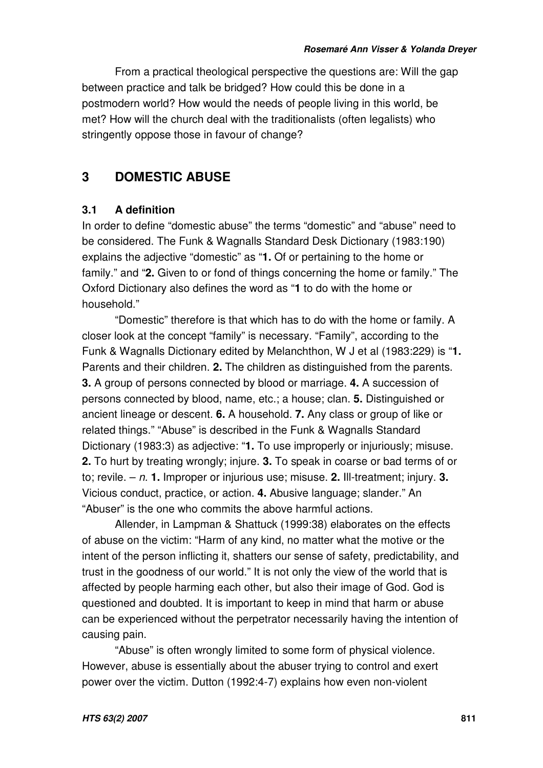From a practical theological perspective the questions are: Will the gap between practice and talk be bridged? How could this be done in a postmodern world? How would the needs of people living in this world, be met? How will the church deal with the traditionalists (often legalists) who stringently oppose those in favour of change?

# **3 DOMESTIC ABUSE**

# **3.1 A definition**

In order to define "domestic abuse" the terms "domestic" and "abuse" need to be considered. The Funk & Wagnalls Standard Desk Dictionary (1983:190) explains the adjective "domestic" as "**1.** Of or pertaining to the home or family." and "**2.** Given to or fond of things concerning the home or family." The Oxford Dictionary also defines the word as "**1** to do with the home or household."

"Domestic" therefore is that which has to do with the home or family. A closer look at the concept "family" is necessary. "Family", according to the Funk & Wagnalls Dictionary edited by Melanchthon, W J et al (1983:229) is "**1.** Parents and their children. **2.** The children as distinguished from the parents. **3.** A group of persons connected by blood or marriage. **4.** A succession of persons connected by blood, name, etc.; a house; clan. **5.** Distinguished or ancient lineage or descent. **6.** A household. **7.** Any class or group of like or related things." "Abuse" is described in the Funk & Wagnalls Standard Dictionary (1983:3) as adjective: "**1.** To use improperly or injuriously; misuse. **2.** To hurt by treating wrongly; injure. **3.** To speak in coarse or bad terms of or to; revile. – *n.* **1.** Improper or injurious use; misuse. **2.** Ill-treatment; injury. **3.** Vicious conduct, practice, or action. **4.** Abusive language; slander." An "Abuser" is the one who commits the above harmful actions.

Allender, in Lampman & Shattuck (1999:38) elaborates on the effects of abuse on the victim: "Harm of any kind, no matter what the motive or the intent of the person inflicting it, shatters our sense of safety, predictability, and trust in the goodness of our world." It is not only the view of the world that is affected by people harming each other, but also their image of God. God is questioned and doubted. It is important to keep in mind that harm or abuse can be experienced without the perpetrator necessarily having the intention of causing pain.

"Abuse" is often wrongly limited to some form of physical violence. However, abuse is essentially about the abuser trying to control and exert power over the victim. Dutton (1992:4-7) explains how even non-violent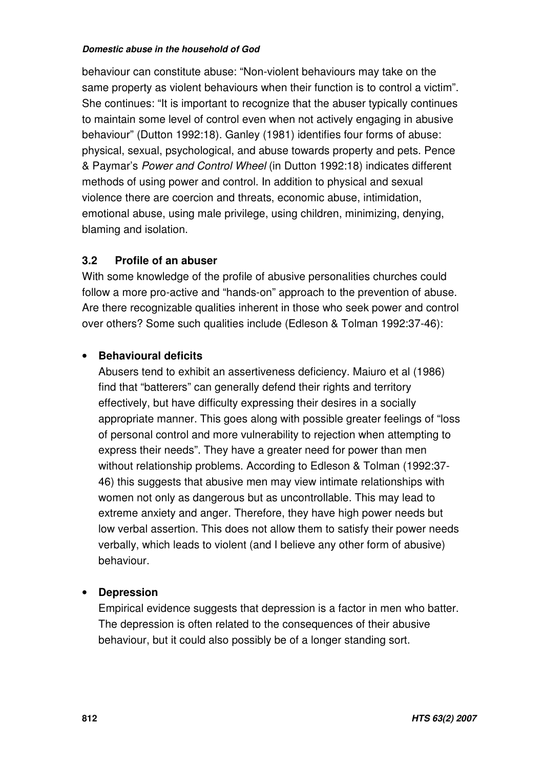behaviour can constitute abuse: "Non-violent behaviours may take on the same property as violent behaviours when their function is to control a victim". She continues: "It is important to recognize that the abuser typically continues to maintain some level of control even when not actively engaging in abusive behaviour" (Dutton 1992:18). Ganley (1981) identifies four forms of abuse: physical, sexual, psychological, and abuse towards property and pets. Pence & Paymar's *Power and Control Wheel* (in Dutton 1992:18) indicates different methods of using power and control. In addition to physical and sexual violence there are coercion and threats, economic abuse, intimidation, emotional abuse, using male privilege, using children, minimizing, denying, blaming and isolation.

# **3.2 Profile of an abuser**

With some knowledge of the profile of abusive personalities churches could follow a more pro-active and "hands-on" approach to the prevention of abuse. Are there recognizable qualities inherent in those who seek power and control over others? Some such qualities include (Edleson & Tolman 1992:37-46):

# • **Behavioural deficits**

Abusers tend to exhibit an assertiveness deficiency. Maiuro et al (1986) find that "batterers" can generally defend their rights and territory effectively, but have difficulty expressing their desires in a socially appropriate manner. This goes along with possible greater feelings of "loss of personal control and more vulnerability to rejection when attempting to express their needs". They have a greater need for power than men without relationship problems. According to Edleson & Tolman (1992:37- 46) this suggests that abusive men may view intimate relationships with women not only as dangerous but as uncontrollable. This may lead to extreme anxiety and anger. Therefore, they have high power needs but low verbal assertion. This does not allow them to satisfy their power needs verbally, which leads to violent (and I believe any other form of abusive) behaviour.

# • **Depression**

Empirical evidence suggests that depression is a factor in men who batter. The depression is often related to the consequences of their abusive behaviour, but it could also possibly be of a longer standing sort.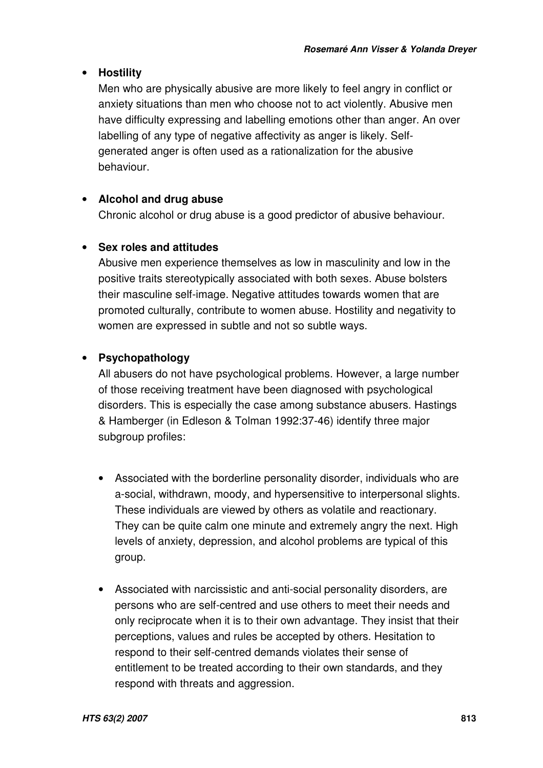# • **Hostility**

Men who are physically abusive are more likely to feel angry in conflict or anxiety situations than men who choose not to act violently. Abusive men have difficulty expressing and labelling emotions other than anger. An over labelling of any type of negative affectivity as anger is likely. Selfgenerated anger is often used as a rationalization for the abusive behaviour.

# • **Alcohol and drug abuse**

Chronic alcohol or drug abuse is a good predictor of abusive behaviour.

### • **Sex roles and attitudes**

Abusive men experience themselves as low in masculinity and low in the positive traits stereotypically associated with both sexes. Abuse bolsters their masculine self-image. Negative attitudes towards women that are promoted culturally, contribute to women abuse. Hostility and negativity to women are expressed in subtle and not so subtle ways.

# • **Psychopathology**

All abusers do not have psychological problems. However, a large number of those receiving treatment have been diagnosed with psychological disorders. This is especially the case among substance abusers. Hastings & Hamberger (in Edleson & Tolman 1992:37-46) identify three major subgroup profiles:

- Associated with the borderline personality disorder, individuals who are a-social, withdrawn, moody, and hypersensitive to interpersonal slights. These individuals are viewed by others as volatile and reactionary. They can be quite calm one minute and extremely angry the next. High levels of anxiety, depression, and alcohol problems are typical of this group.
- Associated with narcissistic and anti-social personality disorders, are persons who are self-centred and use others to meet their needs and only reciprocate when it is to their own advantage. They insist that their perceptions, values and rules be accepted by others. Hesitation to respond to their self-centred demands violates their sense of entitlement to be treated according to their own standards, and they respond with threats and aggression.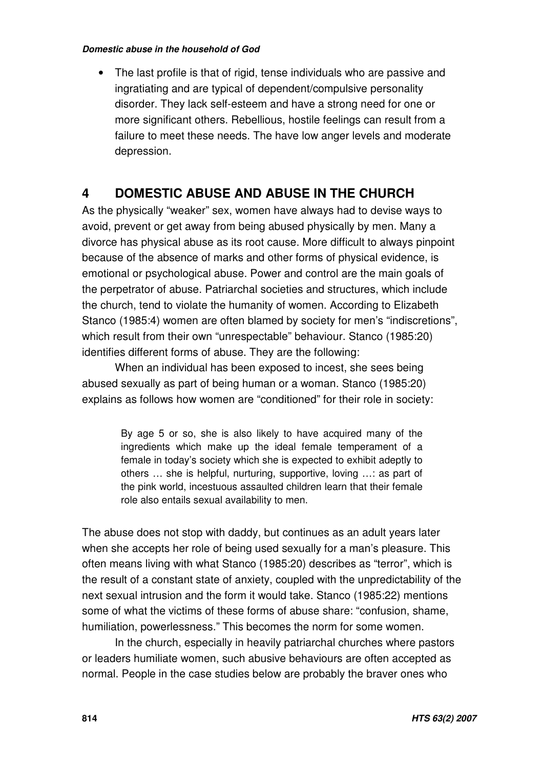The last profile is that of rigid, tense individuals who are passive and ingratiating and are typical of dependent/compulsive personality disorder. They lack self-esteem and have a strong need for one or more significant others. Rebellious, hostile feelings can result from a failure to meet these needs. The have low anger levels and moderate depression.

# **4 DOMESTIC ABUSE AND ABUSE IN THE CHURCH**

As the physically "weaker" sex, women have always had to devise ways to avoid, prevent or get away from being abused physically by men. Many a divorce has physical abuse as its root cause. More difficult to always pinpoint because of the absence of marks and other forms of physical evidence, is emotional or psychological abuse. Power and control are the main goals of the perpetrator of abuse. Patriarchal societies and structures, which include the church, tend to violate the humanity of women. According to Elizabeth Stanco (1985:4) women are often blamed by society for men's "indiscretions", which result from their own "unrespectable" behaviour. Stanco (1985:20) identifies different forms of abuse. They are the following:

When an individual has been exposed to incest, she sees being abused sexually as part of being human or a woman. Stanco (1985:20) explains as follows how women are "conditioned" for their role in society:

> By age 5 or so, she is also likely to have acquired many of the ingredients which make up the ideal female temperament of a female in today's society which she is expected to exhibit adeptly to others … she is helpful, nurturing, supportive, loving …: as part of the pink world, incestuous assaulted children learn that their female role also entails sexual availability to men.

The abuse does not stop with daddy, but continues as an adult years later when she accepts her role of being used sexually for a man's pleasure. This often means living with what Stanco (1985:20) describes as "terror", which is the result of a constant state of anxiety, coupled with the unpredictability of the next sexual intrusion and the form it would take. Stanco (1985:22) mentions some of what the victims of these forms of abuse share: "confusion, shame, humiliation, powerlessness." This becomes the norm for some women.

In the church, especially in heavily patriarchal churches where pastors or leaders humiliate women, such abusive behaviours are often accepted as normal. People in the case studies below are probably the braver ones who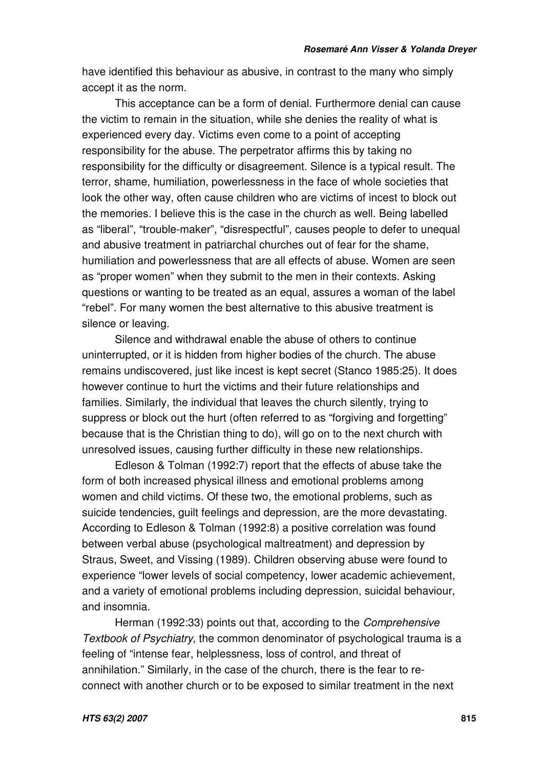have identified this behaviour as abusive, in contrast to the many who simply accept it as the norm.

This acceptance can be a form of denial. Furthermore denial can cause the victim to remain in the situation, while she denies the reality of what is experienced every day. Victims even come to a point of accepting responsibility for the abuse. The perpetrator affirms this by taking no responsibility for the difficulty or disagreement. Silence is a typical result. The terror, shame, humiliation, powerlessness in the face of whole societies that look the other way, often cause children who are victims of incest to block out the memories. I believe this is the case in the church as well. Being labelled as "liberal", "trouble-maker", "disrespectful", causes people to defer to unequal and abusive treatment in patriarchal churches out of fear for the shame, humiliation and powerlessness that are all effects of abuse. Women are seen as "proper women" when they submit to the men in their contexts. Asking questions or wanting to be treated as an equal, assures a woman of the label "rebel". For many women the best alternative to this abusive treatment is silence or leaving.

Silence and withdrawal enable the abuse of others to continue uninterrupted, or it is hidden from higher bodies of the church. The abuse remains undiscovered, just like incest is kept secret (Stanco 1985:25). It does however continue to hurt the victims and their future relationships and families. Similarly, the individual that leaves the church silently, trying to suppress or block out the hurt (often referred to as "forgiving and forgetting" because that is the Christian thing to do), will go on to the next church with unresolved issues, causing further difficulty in these new relationships.

Edleson & Tolman (1992:7) report that the effects of abuse take the form of both increased physical illness and emotional problems among women and child victims. Of these two, the emotional problems, such as suicide tendencies, guilt feelings and depression, are the more devastating. According to Edleson & Tolman (1992:8) a positive correlation was found between verbal abuse (psychological maltreatment) and depression by Straus, Sweet, and Vissing (1989). Children observing abuse were found to experience "lower levels of social competency, lower academic achievement, and a variety of emotional problems including depression, suicidal behaviour, and insomnia.

Herman (1992:33) points out that, according to the *Comprehensive Textbook of Psychiatry*, the common denominator of psychological trauma is a feeling of "intense fear, helplessness, loss of control, and threat of annihilation." Similarly, in the case of the church, there is the fear to reconnect with another church or to be exposed to similar treatment in the next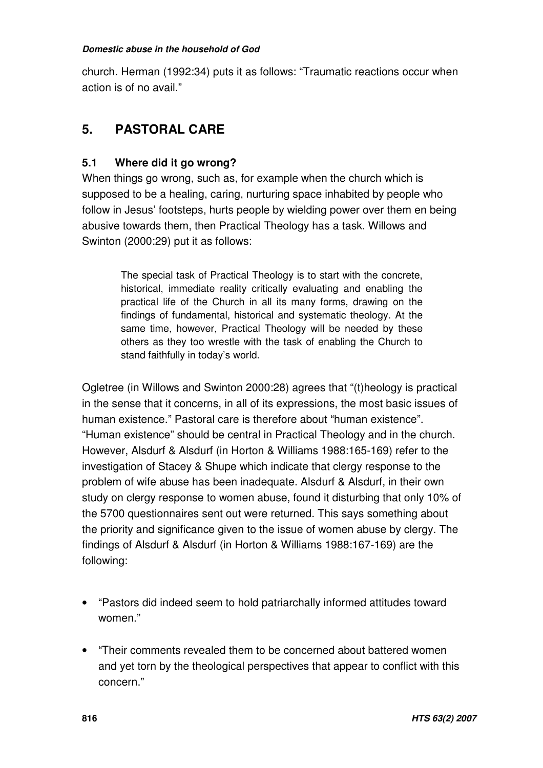church. Herman (1992:34) puts it as follows: "Traumatic reactions occur when action is of no avail."

# **5. PASTORAL CARE**

# **5.1 Where did it go wrong?**

When things go wrong, such as, for example when the church which is supposed to be a healing, caring, nurturing space inhabited by people who follow in Jesus' footsteps, hurts people by wielding power over them en being abusive towards them, then Practical Theology has a task. Willows and Swinton (2000:29) put it as follows:

> The special task of Practical Theology is to start with the concrete, historical, immediate reality critically evaluating and enabling the practical life of the Church in all its many forms, drawing on the findings of fundamental, historical and systematic theology. At the same time, however, Practical Theology will be needed by these others as they too wrestle with the task of enabling the Church to stand faithfully in today's world.

Ogletree (in Willows and Swinton 2000:28) agrees that "(t)heology is practical in the sense that it concerns, in all of its expressions, the most basic issues of human existence." Pastoral care is therefore about "human existence". "Human existence" should be central in Practical Theology and in the church. However, Alsdurf & Alsdurf (in Horton & Williams 1988:165-169) refer to the investigation of Stacey & Shupe which indicate that clergy response to the problem of wife abuse has been inadequate. Alsdurf & Alsdurf, in their own study on clergy response to women abuse, found it disturbing that only 10% of the 5700 questionnaires sent out were returned. This says something about the priority and significance given to the issue of women abuse by clergy. The findings of Alsdurf & Alsdurf (in Horton & Williams 1988:167-169) are the following:

- "Pastors did indeed seem to hold patriarchally informed attitudes toward women."
- "Their comments revealed them to be concerned about battered women and yet torn by the theological perspectives that appear to conflict with this concern."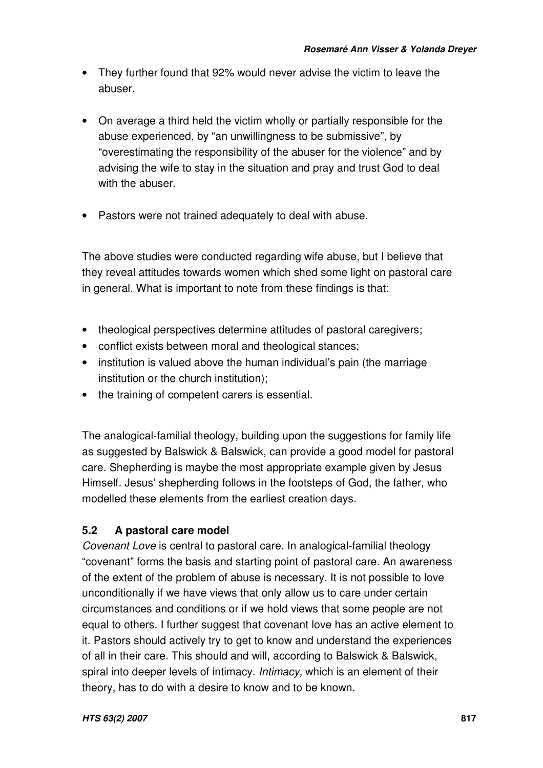- They further found that 92% would never advise the victim to leave the abuser.
- On average a third held the victim wholly or partially responsible for the abuse experienced, by "an unwillingness to be submissive", by "overestimating the responsibility of the abuser for the violence" and by advising the wife to stay in the situation and pray and trust God to deal with the abuser.
- Pastors were not trained adequately to deal with abuse.

The above studies were conducted regarding wife abuse, but I believe that they reveal attitudes towards women which shed some light on pastoral care in general. What is important to note from these findings is that:

- theological perspectives determine attitudes of pastoral caregivers;
- conflict exists between moral and theological stances;
- institution is valued above the human individual's pain (the marriage institution or the church institution);
- the training of competent carers is essential.

The analogical-familial theology, building upon the suggestions for family life as suggested by Balswick & Balswick, can provide a good model for pastoral care. Shepherding is maybe the most appropriate example given by Jesus Himself. Jesus' shepherding follows in the footsteps of God, the father, who modelled these elements from the earliest creation days.

# **5.2 A pastoral care model**

*Covenant Love* is central to pastoral care. In analogical-familial theology "covenant" forms the basis and starting point of pastoral care. An awareness of the extent of the problem of abuse is necessary. It is not possible to love unconditionally if we have views that only allow us to care under certain circumstances and conditions or if we hold views that some people are not equal to others. I further suggest that covenant love has an active element to it. Pastors should actively try to get to know and understand the experiences of all in their care. This should and will, according to Balswick & Balswick, spiral into deeper levels of intimacy. *Intimacy,* which is an element of their theory, has to do with a desire to know and to be known.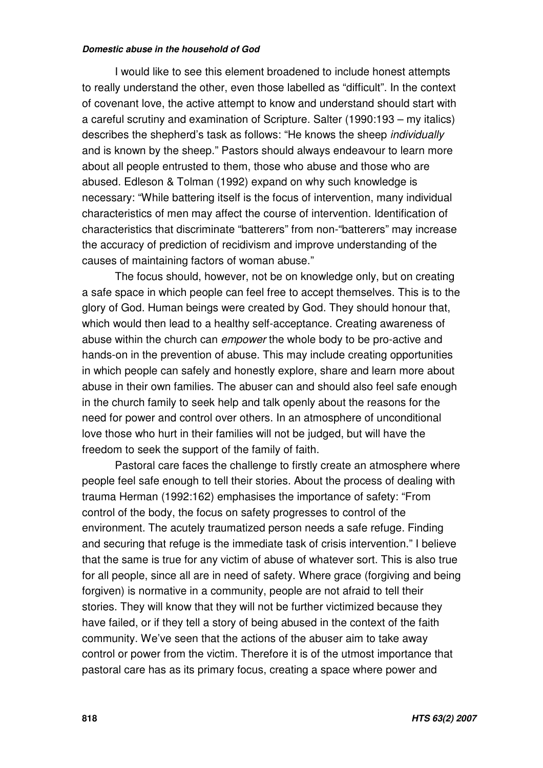I would like to see this element broadened to include honest attempts to really understand the other, even those labelled as "difficult". In the context of covenant love, the active attempt to know and understand should start with a careful scrutiny and examination of Scripture. Salter (1990:193 – my italics) describes the shepherd's task as follows: "He knows the sheep *individually* and is known by the sheep." Pastors should always endeavour to learn more about all people entrusted to them, those who abuse and those who are abused. Edleson & Tolman (1992) expand on why such knowledge is necessary: "While battering itself is the focus of intervention, many individual characteristics of men may affect the course of intervention. Identification of characteristics that discriminate "batterers" from non-"batterers" may increase the accuracy of prediction of recidivism and improve understanding of the causes of maintaining factors of woman abuse."

The focus should, however, not be on knowledge only, but on creating a safe space in which people can feel free to accept themselves. This is to the glory of God. Human beings were created by God. They should honour that, which would then lead to a healthy self-acceptance. Creating awareness of abuse within the church can *empower* the whole body to be pro-active and hands-on in the prevention of abuse. This may include creating opportunities in which people can safely and honestly explore, share and learn more about abuse in their own families. The abuser can and should also feel safe enough in the church family to seek help and talk openly about the reasons for the need for power and control over others. In an atmosphere of unconditional love those who hurt in their families will not be judged, but will have the freedom to seek the support of the family of faith.

Pastoral care faces the challenge to firstly create an atmosphere where people feel safe enough to tell their stories. About the process of dealing with trauma Herman (1992:162) emphasises the importance of safety: "From control of the body, the focus on safety progresses to control of the environment. The acutely traumatized person needs a safe refuge. Finding and securing that refuge is the immediate task of crisis intervention." I believe that the same is true for any victim of abuse of whatever sort. This is also true for all people, since all are in need of safety. Where grace (forgiving and being forgiven) is normative in a community, people are not afraid to tell their stories. They will know that they will not be further victimized because they have failed, or if they tell a story of being abused in the context of the faith community. We've seen that the actions of the abuser aim to take away control or power from the victim. Therefore it is of the utmost importance that pastoral care has as its primary focus, creating a space where power and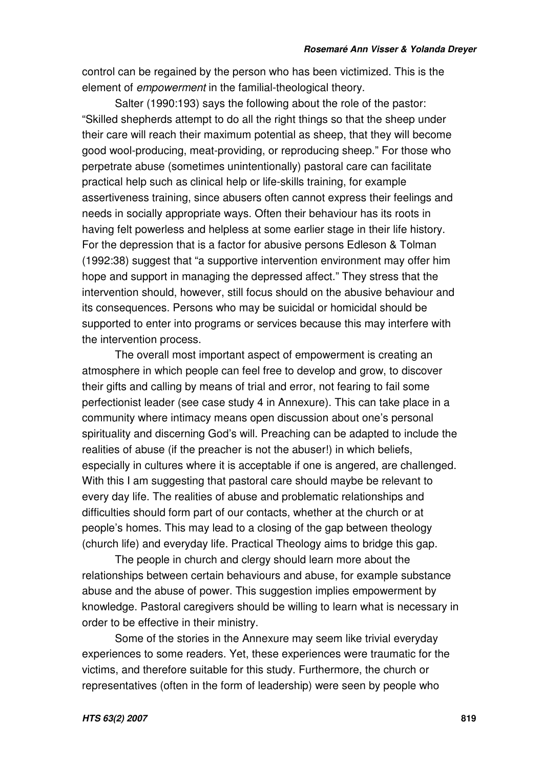control can be regained by the person who has been victimized. This is the element of *empowerment* in the familial-theological theory.

Salter (1990:193) says the following about the role of the pastor: "Skilled shepherds attempt to do all the right things so that the sheep under their care will reach their maximum potential as sheep, that they will become good wool-producing, meat-providing, or reproducing sheep." For those who perpetrate abuse (sometimes unintentionally) pastoral care can facilitate practical help such as clinical help or life-skills training, for example assertiveness training, since abusers often cannot express their feelings and needs in socially appropriate ways. Often their behaviour has its roots in having felt powerless and helpless at some earlier stage in their life history. For the depression that is a factor for abusive persons Edleson & Tolman (1992:38) suggest that "a supportive intervention environment may offer him hope and support in managing the depressed affect." They stress that the intervention should, however, still focus should on the abusive behaviour and its consequences. Persons who may be suicidal or homicidal should be supported to enter into programs or services because this may interfere with the intervention process.

The overall most important aspect of empowerment is creating an atmosphere in which people can feel free to develop and grow, to discover their gifts and calling by means of trial and error, not fearing to fail some perfectionist leader (see case study 4 in Annexure). This can take place in a community where intimacy means open discussion about one's personal spirituality and discerning God's will. Preaching can be adapted to include the realities of abuse (if the preacher is not the abuser!) in which beliefs, especially in cultures where it is acceptable if one is angered, are challenged. With this I am suggesting that pastoral care should maybe be relevant to every day life. The realities of abuse and problematic relationships and difficulties should form part of our contacts, whether at the church or at people's homes. This may lead to a closing of the gap between theology (church life) and everyday life. Practical Theology aims to bridge this gap.

The people in church and clergy should learn more about the relationships between certain behaviours and abuse, for example substance abuse and the abuse of power. This suggestion implies empowerment by knowledge. Pastoral caregivers should be willing to learn what is necessary in order to be effective in their ministry.

Some of the stories in the Annexure may seem like trivial everyday experiences to some readers. Yet, these experiences were traumatic for the victims, and therefore suitable for this study. Furthermore, the church or representatives (often in the form of leadership) were seen by people who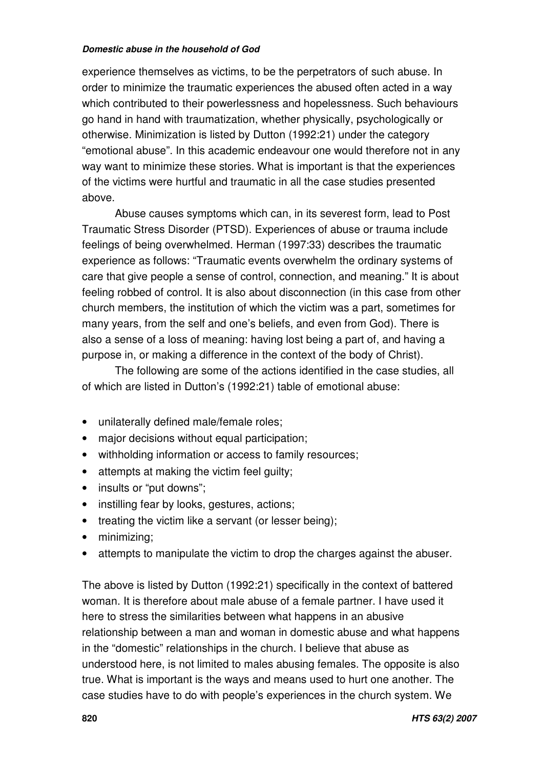experience themselves as victims, to be the perpetrators of such abuse. In order to minimize the traumatic experiences the abused often acted in a way which contributed to their powerlessness and hopelessness. Such behaviours go hand in hand with traumatization, whether physically, psychologically or otherwise. Minimization is listed by Dutton (1992:21) under the category "emotional abuse". In this academic endeavour one would therefore not in any way want to minimize these stories. What is important is that the experiences of the victims were hurtful and traumatic in all the case studies presented above.

Abuse causes symptoms which can, in its severest form, lead to Post Traumatic Stress Disorder (PTSD). Experiences of abuse or trauma include feelings of being overwhelmed. Herman (1997:33) describes the traumatic experience as follows: "Traumatic events overwhelm the ordinary systems of care that give people a sense of control, connection, and meaning." It is about feeling robbed of control. It is also about disconnection (in this case from other church members, the institution of which the victim was a part, sometimes for many years, from the self and one's beliefs, and even from God). There is also a sense of a loss of meaning: having lost being a part of, and having a purpose in, or making a difference in the context of the body of Christ).

The following are some of the actions identified in the case studies, all of which are listed in Dutton's (1992:21) table of emotional abuse:

- unilaterally defined male/female roles;
- major decisions without equal participation;
- withholding information or access to family resources;
- attempts at making the victim feel guilty;
- insults or "put downs";
- instilling fear by looks, gestures, actions;
- treating the victim like a servant (or lesser being);
- minimizing;
- attempts to manipulate the victim to drop the charges against the abuser.

The above is listed by Dutton (1992:21) specifically in the context of battered woman. It is therefore about male abuse of a female partner. I have used it here to stress the similarities between what happens in an abusive relationship between a man and woman in domestic abuse and what happens in the "domestic" relationships in the church. I believe that abuse as understood here, is not limited to males abusing females. The opposite is also true. What is important is the ways and means used to hurt one another. The case studies have to do with people's experiences in the church system. We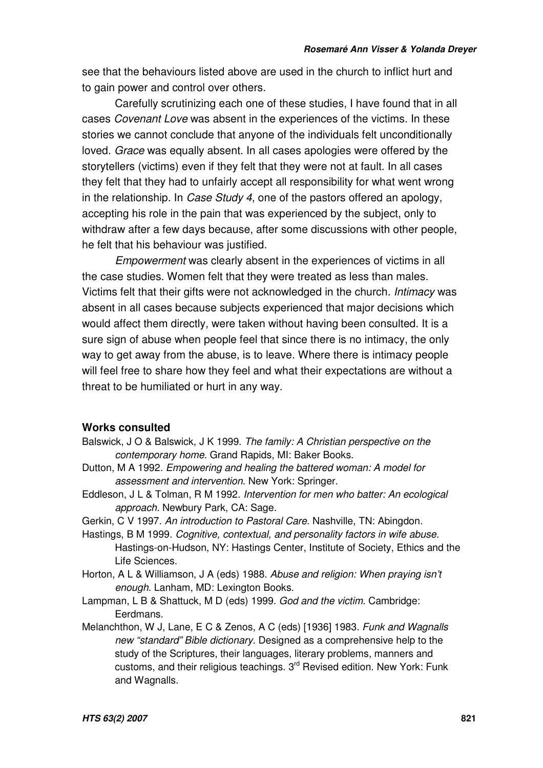see that the behaviours listed above are used in the church to inflict hurt and to gain power and control over others.

Carefully scrutinizing each one of these studies, I have found that in all cases *Covenant Love* was absent in the experiences of the victims. In these stories we cannot conclude that anyone of the individuals felt unconditionally loved. *Grace* was equally absent. In all cases apologies were offered by the storytellers (victims) even if they felt that they were not at fault. In all cases they felt that they had to unfairly accept all responsibility for what went wrong in the relationship. In *Case Study 4*, one of the pastors offered an apology, accepting his role in the pain that was experienced by the subject, only to withdraw after a few days because, after some discussions with other people, he felt that his behaviour was justified.

*Empowerment* was clearly absent in the experiences of victims in all the case studies. Women felt that they were treated as less than males. Victims felt that their gifts were not acknowledged in the church. *Intimacy* was absent in all cases because subjects experienced that major decisions which would affect them directly, were taken without having been consulted. It is a sure sign of abuse when people feel that since there is no intimacy, the only way to get away from the abuse, is to leave. Where there is intimacy people will feel free to share how they feel and what their expectations are without a threat to be humiliated or hurt in any way.

### **Works consulted**

- Balswick, J O & Balswick, J K 1999. *The family: A Christian perspective on the contemporary home.* Grand Rapids, MI: Baker Books.
- Dutton, M A 1992. *Empowering and healing the battered woman: A model for assessment and intervention.* New York: Springer.
- Eddleson, J L & Tolman, R M 1992. *Intervention for men who batter: An ecological approach.* Newbury Park, CA: Sage.
- Gerkin, C V 1997. *An introduction to Pastoral Care*. Nashville, TN: Abingdon.
- Hastings, B M 1999. *Cognitive, contextual, and personality factors in wife abuse.* Hastings-on-Hudson, NY: Hastings Center, Institute of Society, Ethics and the Life Sciences.
- Horton, A L & Williamson, J A (eds) 1988. *Abuse and religion: When praying isn't enough.* Lanham, MD: Lexington Books.
- Lampman, L B & Shattuck, M D (eds) 1999. *God and the victim.* Cambridge: Eerdmans.
- Melanchthon, W J, Lane, E C & Zenos, A C (eds) [1936] 1983. *Funk and Wagnalls new "standard" Bible dictionary.* Designed as a comprehensive help to the study of the Scriptures, their languages, literary problems, manners and customs, and their religious teachings. 3<sup>rd</sup> Revised edition. New York: Funk and Wagnalls.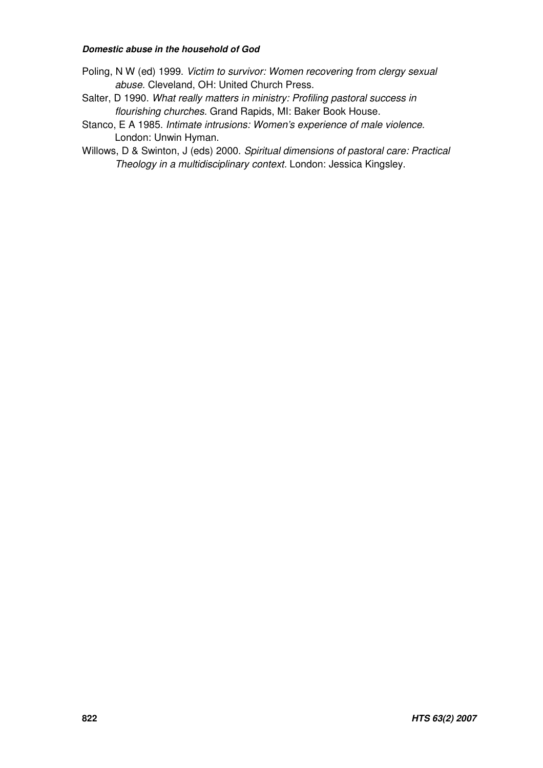- Poling, N W (ed) 1999. *Victim to survivor: Women recovering from clergy sexual abuse.* Cleveland, OH: United Church Press.
- Salter, D 1990. *What really matters in ministry: Profiling pastoral success in flourishing churches.* Grand Rapids, MI: Baker Book House.
- Stanco, E A 1985. *Intimate intrusions: Women's experience of male violence.* London: Unwin Hyman.
- Willows, D & Swinton, J (eds) 2000. *Spiritual dimensions of pastoral care: Practical Theology in a multidisciplinary context.* London: Jessica Kingsley.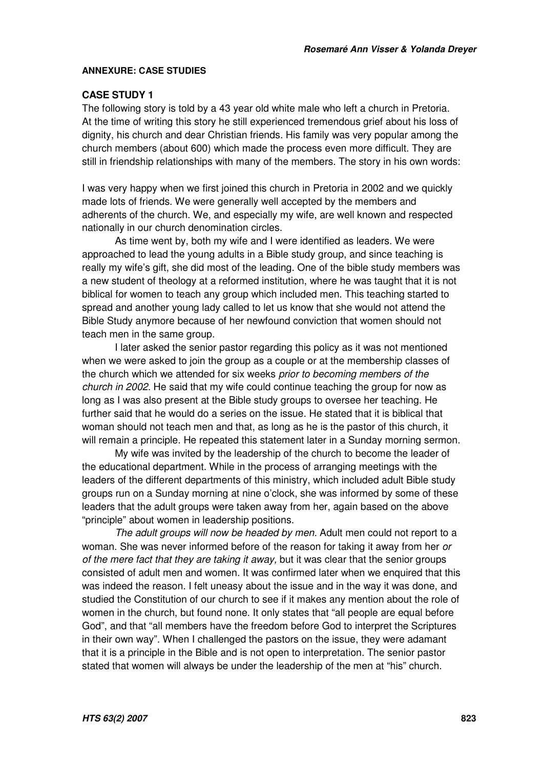#### **ANNEXURE: CASE STUDIES**

### **CASE STUDY 1**

The following story is told by a 43 year old white male who left a church in Pretoria. At the time of writing this story he still experienced tremendous grief about his loss of dignity, his church and dear Christian friends. His family was very popular among the church members (about 600) which made the process even more difficult. They are still in friendship relationships with many of the members. The story in his own words:

I was very happy when we first joined this church in Pretoria in 2002 and we quickly made lots of friends. We were generally well accepted by the members and adherents of the church. We, and especially my wife, are well known and respected nationally in our church denomination circles.

As time went by, both my wife and I were identified as leaders. We were approached to lead the young adults in a Bible study group, and since teaching is really my wife's gift, she did most of the leading. One of the bible study members was a new student of theology at a reformed institution, where he was taught that it is not biblical for women to teach any group which included men. This teaching started to spread and another young lady called to let us know that she would not attend the Bible Study anymore because of her newfound conviction that women should not teach men in the same group.

I later asked the senior pastor regarding this policy as it was not mentioned when we were asked to join the group as a couple or at the membership classes of the church which we attended for six weeks *prior to becoming members of the church in 2002*. He said that my wife could continue teaching the group for now as long as I was also present at the Bible study groups to oversee her teaching. He further said that he would do a series on the issue. He stated that it is biblical that woman should not teach men and that, as long as he is the pastor of this church, it will remain a principle. He repeated this statement later in a Sunday morning sermon.

My wife was invited by the leadership of the church to become the leader of the educational department. While in the process of arranging meetings with the leaders of the different departments of this ministry, which included adult Bible study groups run on a Sunday morning at nine o'clock, she was informed by some of these leaders that the adult groups were taken away from her, again based on the above "principle" about women in leadership positions.

*The adult groups will now be headed by men.* Adult men could not report to a woman. She was never informed before of the reason for taking it away from her *or of the mere fact that they are taking it away,* but it was clear that the senior groups consisted of adult men and women. It was confirmed later when we enquired that this was indeed the reason. I felt uneasy about the issue and in the way it was done, and studied the Constitution of our church to see if it makes any mention about the role of women in the church, but found none. It only states that "all people are equal before God", and that "all members have the freedom before God to interpret the Scriptures in their own way". When I challenged the pastors on the issue, they were adamant that it is a principle in the Bible and is not open to interpretation. The senior pastor stated that women will always be under the leadership of the men at "his" church.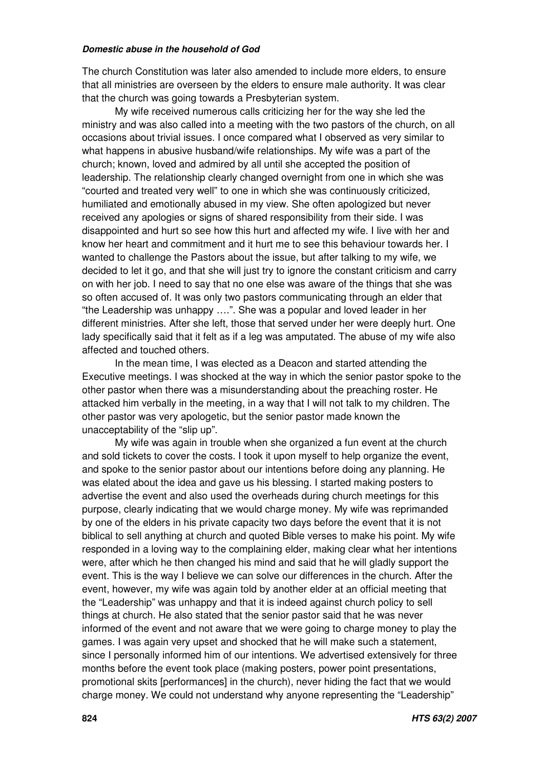The church Constitution was later also amended to include more elders, to ensure that all ministries are overseen by the elders to ensure male authority. It was clear that the church was going towards a Presbyterian system.

My wife received numerous calls criticizing her for the way she led the ministry and was also called into a meeting with the two pastors of the church, on all occasions about trivial issues. I once compared what I observed as very similar to what happens in abusive husband/wife relationships. My wife was a part of the church; known, loved and admired by all until she accepted the position of leadership. The relationship clearly changed overnight from one in which she was "courted and treated very well" to one in which she was continuously criticized, humiliated and emotionally abused in my view. She often apologized but never received any apologies or signs of shared responsibility from their side. I was disappointed and hurt so see how this hurt and affected my wife. I live with her and know her heart and commitment and it hurt me to see this behaviour towards her. I wanted to challenge the Pastors about the issue, but after talking to my wife, we decided to let it go, and that she will just try to ignore the constant criticism and carry on with her job. I need to say that no one else was aware of the things that she was so often accused of. It was only two pastors communicating through an elder that "the Leadership was unhappy ….". She was a popular and loved leader in her different ministries. After she left, those that served under her were deeply hurt. One lady specifically said that it felt as if a leg was amputated. The abuse of my wife also affected and touched others.

In the mean time, I was elected as a Deacon and started attending the Executive meetings. I was shocked at the way in which the senior pastor spoke to the other pastor when there was a misunderstanding about the preaching roster. He attacked him verbally in the meeting, in a way that I will not talk to my children. The other pastor was very apologetic, but the senior pastor made known the unacceptability of the "slip up".

My wife was again in trouble when she organized a fun event at the church and sold tickets to cover the costs. I took it upon myself to help organize the event, and spoke to the senior pastor about our intentions before doing any planning. He was elated about the idea and gave us his blessing. I started making posters to advertise the event and also used the overheads during church meetings for this purpose, clearly indicating that we would charge money. My wife was reprimanded by one of the elders in his private capacity two days before the event that it is not biblical to sell anything at church and quoted Bible verses to make his point. My wife responded in a loving way to the complaining elder, making clear what her intentions were, after which he then changed his mind and said that he will gladly support the event. This is the way I believe we can solve our differences in the church. After the event, however, my wife was again told by another elder at an official meeting that the "Leadership" was unhappy and that it is indeed against church policy to sell things at church. He also stated that the senior pastor said that he was never informed of the event and not aware that we were going to charge money to play the games. I was again very upset and shocked that he will make such a statement, since I personally informed him of our intentions. We advertised extensively for three months before the event took place (making posters, power point presentations, promotional skits [performances] in the church), never hiding the fact that we would charge money. We could not understand why anyone representing the "Leadership"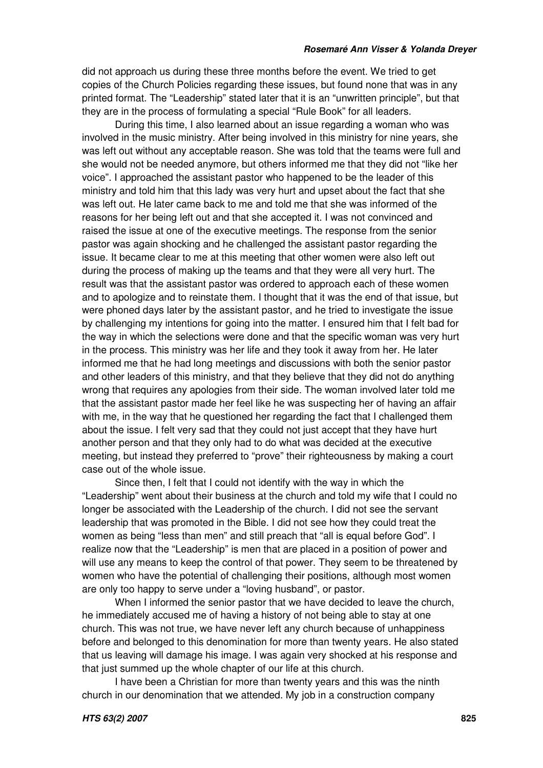did not approach us during these three months before the event. We tried to get copies of the Church Policies regarding these issues, but found none that was in any printed format. The "Leadership" stated later that it is an "unwritten principle", but that they are in the process of formulating a special "Rule Book" for all leaders.

During this time, I also learned about an issue regarding a woman who was involved in the music ministry. After being involved in this ministry for nine years, she was left out without any acceptable reason. She was told that the teams were full and she would not be needed anymore, but others informed me that they did not "like her voice". I approached the assistant pastor who happened to be the leader of this ministry and told him that this lady was very hurt and upset about the fact that she was left out. He later came back to me and told me that she was informed of the reasons for her being left out and that she accepted it. I was not convinced and raised the issue at one of the executive meetings. The response from the senior pastor was again shocking and he challenged the assistant pastor regarding the issue. It became clear to me at this meeting that other women were also left out during the process of making up the teams and that they were all very hurt. The result was that the assistant pastor was ordered to approach each of these women and to apologize and to reinstate them. I thought that it was the end of that issue, but were phoned days later by the assistant pastor, and he tried to investigate the issue by challenging my intentions for going into the matter. I ensured him that I felt bad for the way in which the selections were done and that the specific woman was very hurt in the process. This ministry was her life and they took it away from her. He later informed me that he had long meetings and discussions with both the senior pastor and other leaders of this ministry, and that they believe that they did not do anything wrong that requires any apologies from their side. The woman involved later told me that the assistant pastor made her feel like he was suspecting her of having an affair with me, in the way that he questioned her regarding the fact that I challenged them about the issue. I felt very sad that they could not just accept that they have hurt another person and that they only had to do what was decided at the executive meeting, but instead they preferred to "prove" their righteousness by making a court case out of the whole issue.

Since then, I felt that I could not identify with the way in which the "Leadership" went about their business at the church and told my wife that I could no longer be associated with the Leadership of the church. I did not see the servant leadership that was promoted in the Bible. I did not see how they could treat the women as being "less than men" and still preach that "all is equal before God". I realize now that the "Leadership" is men that are placed in a position of power and will use any means to keep the control of that power. They seem to be threatened by women who have the potential of challenging their positions, although most women are only too happy to serve under a "loving husband", or pastor.

When I informed the senior pastor that we have decided to leave the church, he immediately accused me of having a history of not being able to stay at one church. This was not true, we have never left any church because of unhappiness before and belonged to this denomination for more than twenty years. He also stated that us leaving will damage his image. I was again very shocked at his response and that just summed up the whole chapter of our life at this church.

I have been a Christian for more than twenty years and this was the ninth church in our denomination that we attended. My job in a construction company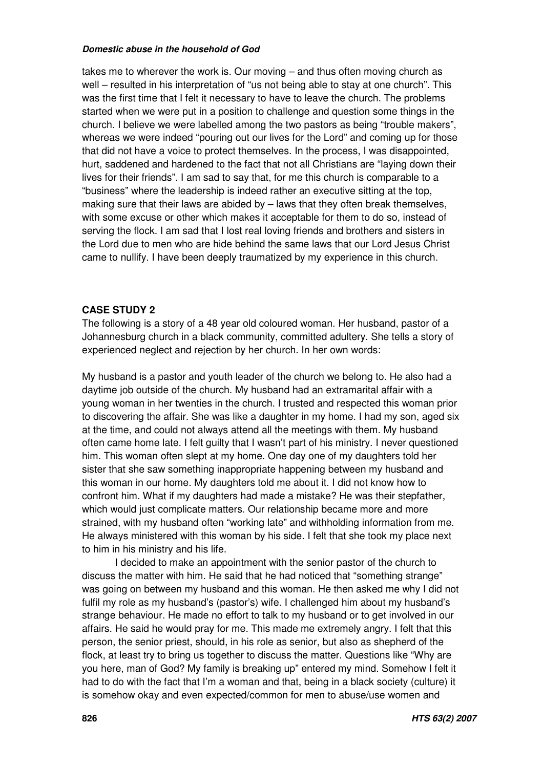takes me to wherever the work is. Our moving – and thus often moving church as well – resulted in his interpretation of "us not being able to stay at one church". This was the first time that I felt it necessary to have to leave the church. The problems started when we were put in a position to challenge and question some things in the church. I believe we were labelled among the two pastors as being "trouble makers", whereas we were indeed "pouring out our lives for the Lord" and coming up for those that did not have a voice to protect themselves. In the process, I was disappointed, hurt, saddened and hardened to the fact that not all Christians are "laying down their lives for their friends". I am sad to say that, for me this church is comparable to a "business" where the leadership is indeed rather an executive sitting at the top, making sure that their laws are abided by – laws that they often break themselves, with some excuse or other which makes it acceptable for them to do so, instead of serving the flock. I am sad that I lost real loving friends and brothers and sisters in the Lord due to men who are hide behind the same laws that our Lord Jesus Christ came to nullify. I have been deeply traumatized by my experience in this church.

### **CASE STUDY 2**

The following is a story of a 48 year old coloured woman. Her husband, pastor of a Johannesburg church in a black community, committed adultery. She tells a story of experienced neglect and rejection by her church. In her own words:

My husband is a pastor and youth leader of the church we belong to. He also had a daytime job outside of the church. My husband had an extramarital affair with a young woman in her twenties in the church. I trusted and respected this woman prior to discovering the affair. She was like a daughter in my home. I had my son, aged six at the time, and could not always attend all the meetings with them. My husband often came home late. I felt guilty that I wasn't part of his ministry. I never questioned him. This woman often slept at my home. One day one of my daughters told her sister that she saw something inappropriate happening between my husband and this woman in our home. My daughters told me about it. I did not know how to confront him. What if my daughters had made a mistake? He was their stepfather, which would just complicate matters. Our relationship became more and more strained, with my husband often "working late" and withholding information from me. He always ministered with this woman by his side. I felt that she took my place next to him in his ministry and his life.

I decided to make an appointment with the senior pastor of the church to discuss the matter with him. He said that he had noticed that "something strange" was going on between my husband and this woman. He then asked me why I did not fulfil my role as my husband's (pastor's) wife. I challenged him about my husband's strange behaviour. He made no effort to talk to my husband or to get involved in our affairs. He said he would pray for me. This made me extremely angry. I felt that this person, the senior priest, should, in his role as senior, but also as shepherd of the flock, at least try to bring us together to discuss the matter. Questions like "Why are you here, man of God? My family is breaking up" entered my mind. Somehow I felt it had to do with the fact that I'm a woman and that, being in a black society (culture) it is somehow okay and even expected/common for men to abuse/use women and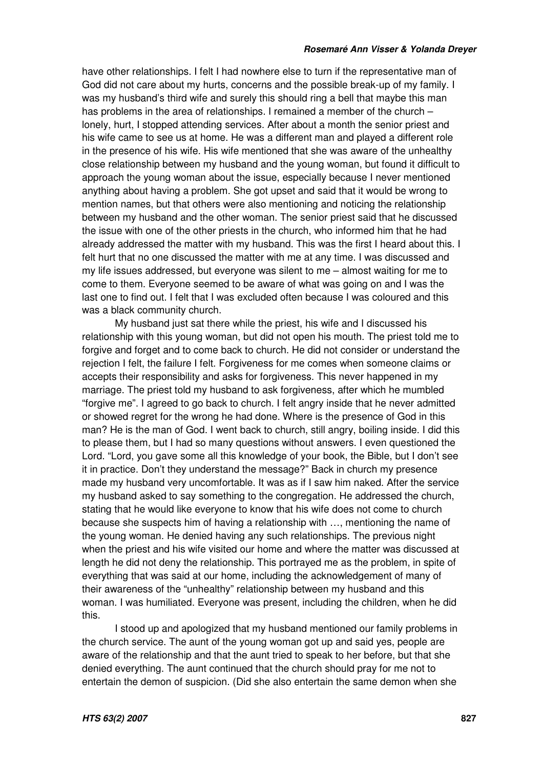#### *Rosemaré Ann Visser & Yolanda Dreyer*

have other relationships. I felt I had nowhere else to turn if the representative man of God did not care about my hurts, concerns and the possible break-up of my family. I was my husband's third wife and surely this should ring a bell that maybe this man has problems in the area of relationships. I remained a member of the church – lonely, hurt, I stopped attending services. After about a month the senior priest and his wife came to see us at home. He was a different man and played a different role in the presence of his wife. His wife mentioned that she was aware of the unhealthy close relationship between my husband and the young woman, but found it difficult to approach the young woman about the issue, especially because I never mentioned anything about having a problem. She got upset and said that it would be wrong to mention names, but that others were also mentioning and noticing the relationship between my husband and the other woman. The senior priest said that he discussed the issue with one of the other priests in the church, who informed him that he had already addressed the matter with my husband. This was the first I heard about this. I felt hurt that no one discussed the matter with me at any time. I was discussed and my life issues addressed, but everyone was silent to me – almost waiting for me to come to them. Everyone seemed to be aware of what was going on and I was the last one to find out. I felt that I was excluded often because I was coloured and this was a black community church.

My husband just sat there while the priest, his wife and I discussed his relationship with this young woman, but did not open his mouth. The priest told me to forgive and forget and to come back to church. He did not consider or understand the rejection I felt, the failure I felt. Forgiveness for me comes when someone claims or accepts their responsibility and asks for forgiveness. This never happened in my marriage. The priest told my husband to ask forgiveness, after which he mumbled "forgive me". I agreed to go back to church. I felt angry inside that he never admitted or showed regret for the wrong he had done. Where is the presence of God in this man? He is the man of God. I went back to church, still angry, boiling inside. I did this to please them, but I had so many questions without answers. I even questioned the Lord. "Lord, you gave some all this knowledge of your book, the Bible, but I don't see it in practice. Don't they understand the message?" Back in church my presence made my husband very uncomfortable. It was as if I saw him naked. After the service my husband asked to say something to the congregation. He addressed the church, stating that he would like everyone to know that his wife does not come to church because she suspects him of having a relationship with …, mentioning the name of the young woman. He denied having any such relationships. The previous night when the priest and his wife visited our home and where the matter was discussed at length he did not deny the relationship. This portrayed me as the problem, in spite of everything that was said at our home, including the acknowledgement of many of their awareness of the "unhealthy" relationship between my husband and this woman. I was humiliated. Everyone was present, including the children, when he did this.

I stood up and apologized that my husband mentioned our family problems in the church service. The aunt of the young woman got up and said yes, people are aware of the relationship and that the aunt tried to speak to her before, but that she denied everything. The aunt continued that the church should pray for me not to entertain the demon of suspicion. (Did she also entertain the same demon when she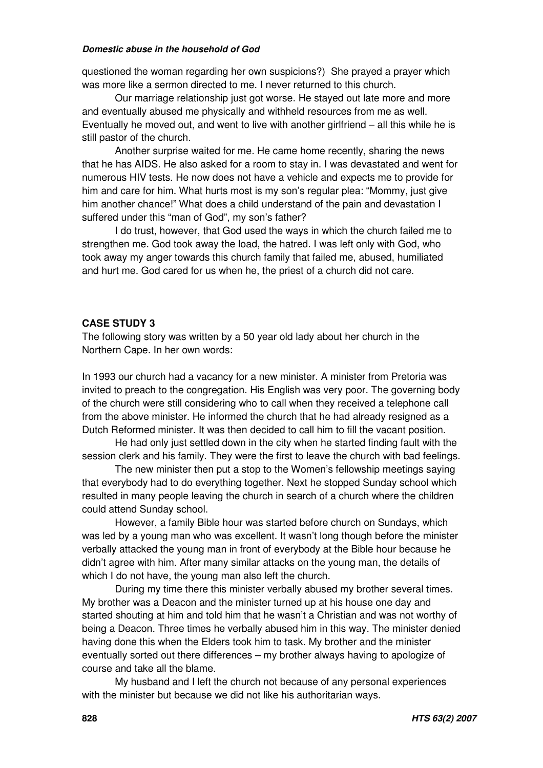questioned the woman regarding her own suspicions?) She prayed a prayer which was more like a sermon directed to me. I never returned to this church.

Our marriage relationship just got worse. He stayed out late more and more and eventually abused me physically and withheld resources from me as well. Eventually he moved out, and went to live with another girlfriend – all this while he is still pastor of the church.

Another surprise waited for me. He came home recently, sharing the news that he has AIDS. He also asked for a room to stay in. I was devastated and went for numerous HIV tests. He now does not have a vehicle and expects me to provide for him and care for him. What hurts most is my son's regular plea: "Mommy, just give him another chance!" What does a child understand of the pain and devastation I suffered under this "man of God", my son's father?

I do trust, however, that God used the ways in which the church failed me to strengthen me. God took away the load, the hatred. I was left only with God, who took away my anger towards this church family that failed me, abused, humiliated and hurt me. God cared for us when he, the priest of a church did not care.

### **CASE STUDY 3**

The following story was written by a 50 year old lady about her church in the Northern Cape. In her own words:

In 1993 our church had a vacancy for a new minister. A minister from Pretoria was invited to preach to the congregation. His English was very poor. The governing body of the church were still considering who to call when they received a telephone call from the above minister. He informed the church that he had already resigned as a Dutch Reformed minister. It was then decided to call him to fill the vacant position.

He had only just settled down in the city when he started finding fault with the session clerk and his family. They were the first to leave the church with bad feelings.

The new minister then put a stop to the Women's fellowship meetings saying that everybody had to do everything together. Next he stopped Sunday school which resulted in many people leaving the church in search of a church where the children could attend Sunday school.

However, a family Bible hour was started before church on Sundays, which was led by a young man who was excellent. It wasn't long though before the minister verbally attacked the young man in front of everybody at the Bible hour because he didn't agree with him. After many similar attacks on the young man, the details of which I do not have, the young man also left the church.

During my time there this minister verbally abused my brother several times. My brother was a Deacon and the minister turned up at his house one day and started shouting at him and told him that he wasn't a Christian and was not worthy of being a Deacon. Three times he verbally abused him in this way. The minister denied having done this when the Elders took him to task. My brother and the minister eventually sorted out there differences – my brother always having to apologize of course and take all the blame.

My husband and I left the church not because of any personal experiences with the minister but because we did not like his authoritarian ways.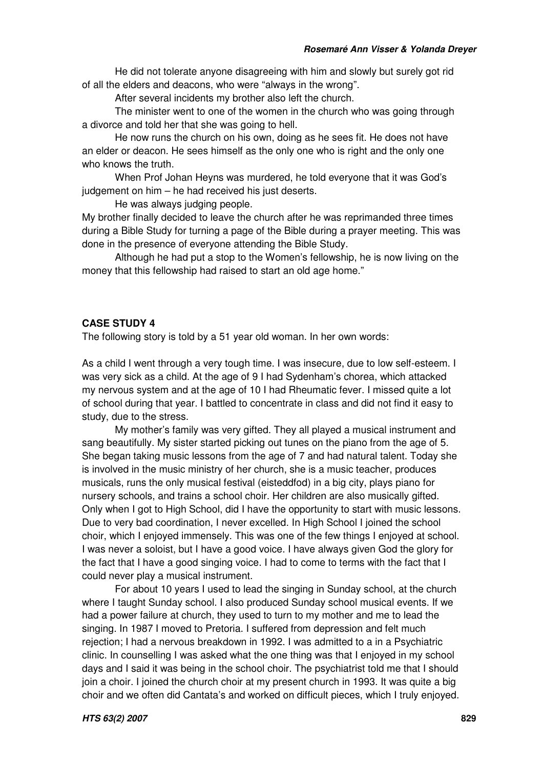He did not tolerate anyone disagreeing with him and slowly but surely got rid of all the elders and deacons, who were "always in the wrong".

After several incidents my brother also left the church.

The minister went to one of the women in the church who was going through a divorce and told her that she was going to hell.

He now runs the church on his own, doing as he sees fit. He does not have an elder or deacon. He sees himself as the only one who is right and the only one who knows the truth.

When Prof Johan Heyns was murdered, he told everyone that it was God's judgement on him – he had received his just deserts.

He was always judging people.

My brother finally decided to leave the church after he was reprimanded three times during a Bible Study for turning a page of the Bible during a prayer meeting. This was done in the presence of everyone attending the Bible Study.

Although he had put a stop to the Women's fellowship, he is now living on the money that this fellowship had raised to start an old age home."

### **CASE STUDY 4**

The following story is told by a 51 year old woman. In her own words:

As a child I went through a very tough time. I was insecure, due to low self-esteem. I was very sick as a child. At the age of 9 I had Sydenham's chorea, which attacked my nervous system and at the age of 10 I had Rheumatic fever. I missed quite a lot of school during that year. I battled to concentrate in class and did not find it easy to study, due to the stress.

My mother's family was very gifted. They all played a musical instrument and sang beautifully. My sister started picking out tunes on the piano from the age of 5. She began taking music lessons from the age of 7 and had natural talent. Today she is involved in the music ministry of her church, she is a music teacher, produces musicals, runs the only musical festival (eisteddfod) in a big city, plays piano for nursery schools, and trains a school choir. Her children are also musically gifted. Only when I got to High School, did I have the opportunity to start with music lessons. Due to very bad coordination, I never excelled. In High School I joined the school choir, which I enjoyed immensely. This was one of the few things I enjoyed at school. I was never a soloist, but I have a good voice. I have always given God the glory for the fact that I have a good singing voice. I had to come to terms with the fact that I could never play a musical instrument.

For about 10 years I used to lead the singing in Sunday school, at the church where I taught Sunday school. I also produced Sunday school musical events. If we had a power failure at church, they used to turn to my mother and me to lead the singing. In 1987 I moved to Pretoria. I suffered from depression and felt much rejection; I had a nervous breakdown in 1992. I was admitted to a in a Psychiatric clinic. In counselling I was asked what the one thing was that I enjoyed in my school days and I said it was being in the school choir. The psychiatrist told me that I should join a choir. I joined the church choir at my present church in 1993. It was quite a big choir and we often did Cantata's and worked on difficult pieces, which I truly enjoyed.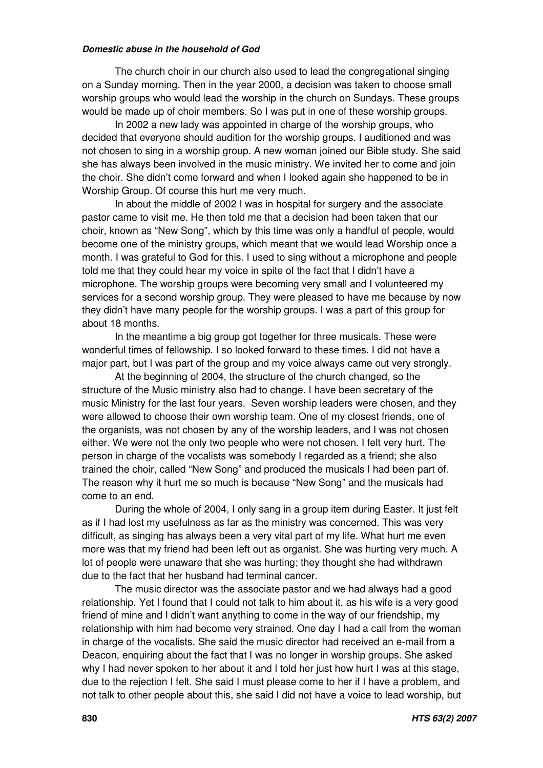The church choir in our church also used to lead the congregational singing on a Sunday morning. Then in the year 2000, a decision was taken to choose small worship groups who would lead the worship in the church on Sundays. These groups would be made up of choir members. So I was put in one of these worship groups.

In 2002 a new lady was appointed in charge of the worship groups, who decided that everyone should audition for the worship groups. I auditioned and was not chosen to sing in a worship group. A new woman joined our Bible study. She said she has always been involved in the music ministry. We invited her to come and join the choir. She didn't come forward and when I looked again she happened to be in Worship Group. Of course this hurt me very much.

In about the middle of 2002 I was in hospital for surgery and the associate pastor came to visit me. He then told me that a decision had been taken that our choir, known as "New Song", which by this time was only a handful of people, would become one of the ministry groups, which meant that we would lead Worship once a month. I was grateful to God for this. I used to sing without a microphone and people told me that they could hear my voice in spite of the fact that I didn't have a microphone. The worship groups were becoming very small and I volunteered my services for a second worship group. They were pleased to have me because by now they didn't have many people for the worship groups. I was a part of this group for about 18 months.

In the meantime a big group got together for three musicals. These were wonderful times of fellowship. I so looked forward to these times. I did not have a major part, but I was part of the group and my voice always came out very strongly.

At the beginning of 2004, the structure of the church changed, so the structure of the Music ministry also had to change. I have been secretary of the music Ministry for the last four years. Seven worship leaders were chosen, and they were allowed to choose their own worship team. One of my closest friends, one of the organists, was not chosen by any of the worship leaders, and I was not chosen either. We were not the only two people who were not chosen. I felt very hurt. The person in charge of the vocalists was somebody I regarded as a friend; she also trained the choir, called "New Song" and produced the musicals I had been part of. The reason why it hurt me so much is because "New Song" and the musicals had come to an end.

During the whole of 2004, I only sang in a group item during Easter. It just felt as if I had lost my usefulness as far as the ministry was concerned. This was very difficult, as singing has always been a very vital part of my life. What hurt me even more was that my friend had been left out as organist. She was hurting very much. A lot of people were unaware that she was hurting; they thought she had withdrawn due to the fact that her husband had terminal cancer.

The music director was the associate pastor and we had always had a good relationship. Yet I found that I could not talk to him about it, as his wife is a very good friend of mine and I didn't want anything to come in the way of our friendship, my relationship with him had become very strained. One day I had a call from the woman in charge of the vocalists. She said the music director had received an e-mail from a Deacon, enquiring about the fact that I was no longer in worship groups. She asked why I had never spoken to her about it and I told her just how hurt I was at this stage, due to the rejection I felt. She said I must please come to her if I have a problem, and not talk to other people about this, she said I did not have a voice to lead worship, but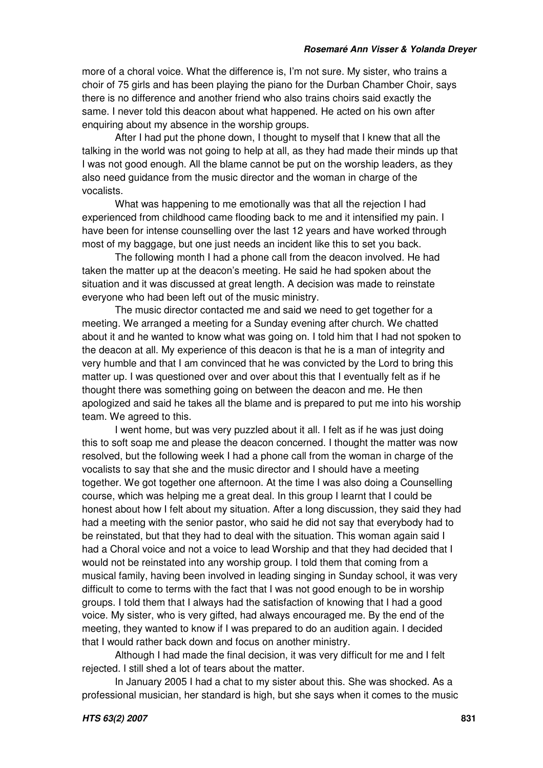more of a choral voice. What the difference is, I'm not sure. My sister, who trains a choir of 75 girls and has been playing the piano for the Durban Chamber Choir, says there is no difference and another friend who also trains choirs said exactly the same. I never told this deacon about what happened. He acted on his own after enquiring about my absence in the worship groups.

After I had put the phone down, I thought to myself that I knew that all the talking in the world was not going to help at all, as they had made their minds up that I was not good enough. All the blame cannot be put on the worship leaders, as they also need guidance from the music director and the woman in charge of the vocalists.

What was happening to me emotionally was that all the rejection I had experienced from childhood came flooding back to me and it intensified my pain. I have been for intense counselling over the last 12 years and have worked through most of my baggage, but one just needs an incident like this to set you back.

The following month I had a phone call from the deacon involved. He had taken the matter up at the deacon's meeting. He said he had spoken about the situation and it was discussed at great length. A decision was made to reinstate everyone who had been left out of the music ministry.

The music director contacted me and said we need to get together for a meeting. We arranged a meeting for a Sunday evening after church. We chatted about it and he wanted to know what was going on. I told him that I had not spoken to the deacon at all. My experience of this deacon is that he is a man of integrity and very humble and that I am convinced that he was convicted by the Lord to bring this matter up. I was questioned over and over about this that I eventually felt as if he thought there was something going on between the deacon and me. He then apologized and said he takes all the blame and is prepared to put me into his worship team. We agreed to this.

I went home, but was very puzzled about it all. I felt as if he was just doing this to soft soap me and please the deacon concerned. I thought the matter was now resolved, but the following week I had a phone call from the woman in charge of the vocalists to say that she and the music director and I should have a meeting together. We got together one afternoon. At the time I was also doing a Counselling course, which was helping me a great deal. In this group I learnt that I could be honest about how I felt about my situation. After a long discussion, they said they had had a meeting with the senior pastor, who said he did not say that everybody had to be reinstated, but that they had to deal with the situation. This woman again said I had a Choral voice and not a voice to lead Worship and that they had decided that I would not be reinstated into any worship group. I told them that coming from a musical family, having been involved in leading singing in Sunday school, it was very difficult to come to terms with the fact that I was not good enough to be in worship groups. I told them that I always had the satisfaction of knowing that I had a good voice. My sister, who is very gifted, had always encouraged me. By the end of the meeting, they wanted to know if I was prepared to do an audition again. I decided that I would rather back down and focus on another ministry.

Although I had made the final decision, it was very difficult for me and I felt rejected. I still shed a lot of tears about the matter.

In January 2005 I had a chat to my sister about this. She was shocked. As a professional musician, her standard is high, but she says when it comes to the music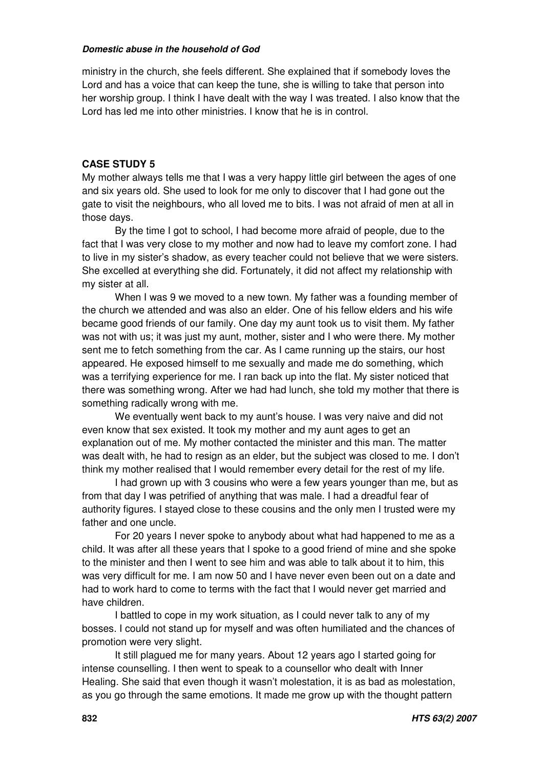ministry in the church, she feels different. She explained that if somebody loves the Lord and has a voice that can keep the tune, she is willing to take that person into her worship group. I think I have dealt with the way I was treated. I also know that the Lord has led me into other ministries. I know that he is in control.

### **CASE STUDY 5**

My mother always tells me that I was a very happy little girl between the ages of one and six years old. She used to look for me only to discover that I had gone out the gate to visit the neighbours, who all loved me to bits. I was not afraid of men at all in those days.

By the time I got to school, I had become more afraid of people, due to the fact that I was very close to my mother and now had to leave my comfort zone. I had to live in my sister's shadow, as every teacher could not believe that we were sisters. She excelled at everything she did. Fortunately, it did not affect my relationship with my sister at all.

When I was 9 we moved to a new town. My father was a founding member of the church we attended and was also an elder. One of his fellow elders and his wife became good friends of our family. One day my aunt took us to visit them. My father was not with us; it was just my aunt, mother, sister and I who were there. My mother sent me to fetch something from the car. As I came running up the stairs, our host appeared. He exposed himself to me sexually and made me do something, which was a terrifying experience for me. I ran back up into the flat. My sister noticed that there was something wrong. After we had had lunch, she told my mother that there is something radically wrong with me.

We eventually went back to my aunt's house. I was very naive and did not even know that sex existed. It took my mother and my aunt ages to get an explanation out of me. My mother contacted the minister and this man. The matter was dealt with, he had to resign as an elder, but the subject was closed to me. I don't think my mother realised that I would remember every detail for the rest of my life.

I had grown up with 3 cousins who were a few years younger than me, but as from that day I was petrified of anything that was male. I had a dreadful fear of authority figures. I stayed close to these cousins and the only men I trusted were my father and one uncle.

For 20 years I never spoke to anybody about what had happened to me as a child. It was after all these years that I spoke to a good friend of mine and she spoke to the minister and then I went to see him and was able to talk about it to him, this was very difficult for me. I am now 50 and I have never even been out on a date and had to work hard to come to terms with the fact that I would never get married and have children.

I battled to cope in my work situation, as I could never talk to any of my bosses. I could not stand up for myself and was often humiliated and the chances of promotion were very slight.

It still plagued me for many years. About 12 years ago I started going for intense counselling. I then went to speak to a counsellor who dealt with Inner Healing. She said that even though it wasn't molestation, it is as bad as molestation, as you go through the same emotions. It made me grow up with the thought pattern